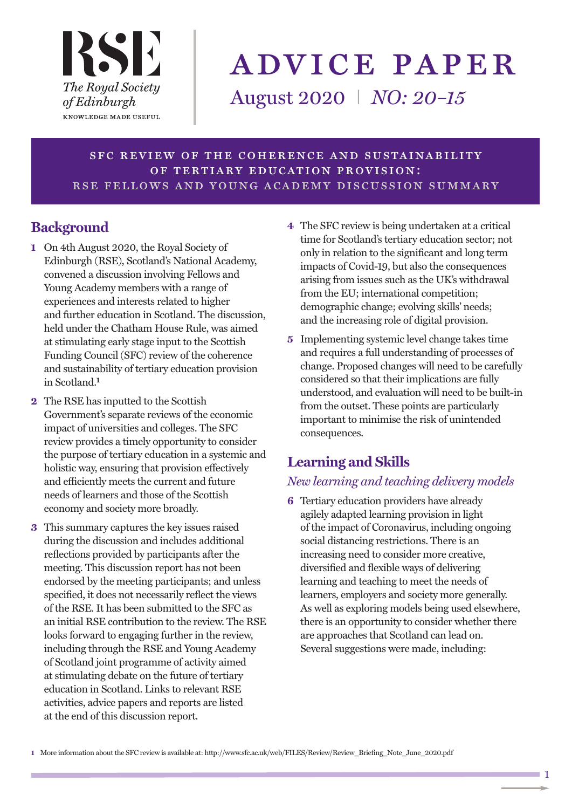

# advice paper

August 2020 I *NO: 20–15*

sfc review of the coherence and sustainability of tertiary education provision: rse fellows and young academy discussion summary

# **Background**

- **1** On 4th August 2020, the Royal Society of Edinburgh (RSE), Scotland's National Academy, convened a discussion involving Fellows and Young Academy members with a range of experiences and interests related to higher and further education in Scotland. The discussion, held under the Chatham House Rule, was aimed at stimulating early stage input to the Scottish Funding Council (SFC) review of the coherence and sustainability of tertiary education provision in Scotland. **1**
- **2** The RSE has inputted to the Scottish Government's separate reviews of the economic impact of universities and colleges. The SFC review provides a timely opportunity to consider the purpose of tertiary education in a systemic and holistic way, ensuring that provision effectively and efficiently meets the current and future needs of learners and those of the Scottish economy and society more broadly.
- **3** This summary captures the key issues raised during the discussion and includes additional reflections provided by participants after the meeting. This discussion report has not been endorsed by the meeting participants; and unless specified, it does not necessarily reflect the views of the RSE. It has been submitted to the SFC as an initial RSE contribution to the review. The RSE looks forward to engaging further in the review, including through the RSE and Young Academy of Scotland joint programme of activity aimed at stimulating debate on the future of tertiary education in Scotland. Links to relevant RSE activities, advice papers and reports are listed at the end of this discussion report.
- **4** The SFC review is being undertaken at a critical time for Scotland's tertiary education sector; not only in relation to the significant and long term impacts of Covid-19, but also the consequences arising from issues such as the UK's withdrawal from the EU; international competition; demographic change; evolving skills' needs; and the increasing role of digital provision.
- **5** Implementing systemic level change takes time and requires a full understanding of processes of change. Proposed changes will need to be carefully considered so that their implications are fully understood, and evaluation will need to be built-in from the outset. These points are particularly important to minimise the risk of unintended consequences.

# **Learning and Skills**

## *New learning and teaching delivery models*

**6** Tertiary education providers have already agilely adapted learning provision in light of the impact of Coronavirus, including ongoing social distancing restrictions. There is an increasing need to consider more creative, diversified and flexible ways of delivering learning and teaching to meet the needs of learners, employers and society more generally. As well as exploring models being used elsewhere, there is an opportunity to consider whether there are approaches that Scotland can lead on. Several suggestions were made, including:

**1** More information about the SFC review is available at: http://www.sfc.ac.uk/web/FILES/Review/Review\_Briefing\_Note\_June\_2020.pdf

 $\blacksquare$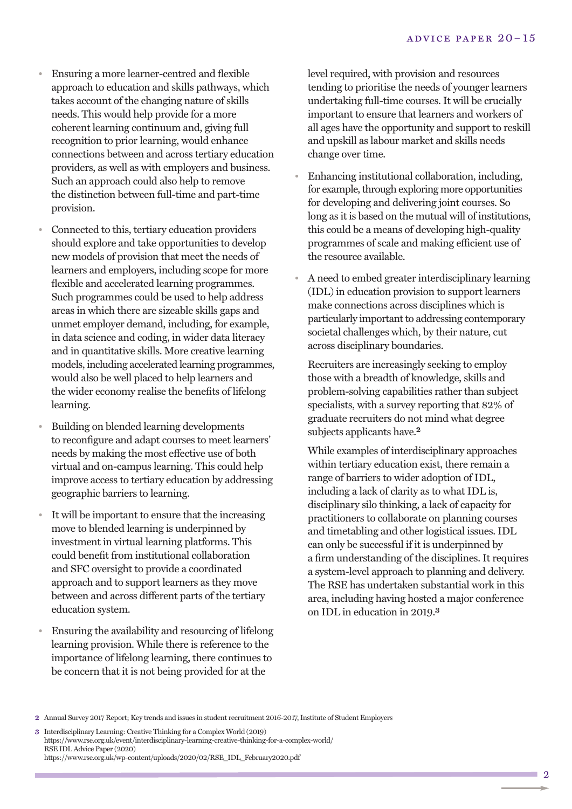- Ensuring a more learner-centred and flexible approach to education and skills pathways, which takes account of the changing nature of skills needs. This would help provide for a more coherent learning continuum and, giving full recognition to prior learning, would enhance connections between and across tertiary education providers, as well as with employers and business. Such an approach could also help to remove the distinction between full-time and part-time provision.
- Connected to this, tertiary education providers should explore and take opportunities to develop new models of provision that meet the needs of learners and employers, including scope for more flexible and accelerated learning programmes. Such programmes could be used to help address areas in which there are sizeable skills gaps and unmet employer demand, including, for example, in data science and coding, in wider data literacy and in quantitative skills. More creative learning models, including accelerated learning programmes, would also be well placed to help learners and the wider economy realise the benefits of lifelong learning.
- Building on blended learning developments to reconfigure and adapt courses to meet learners' needs by making the most effective use of both virtual and on-campus learning. This could help improve access to tertiary education by addressing geographic barriers to learning.
- It will be important to ensure that the increasing move to blended learning is underpinned by investment in virtual learning platforms. This could benefit from institutional collaboration and SFC oversight to provide a coordinated approach and to support learners as they move between and across different parts of the tertiary education system.
- Ensuring the availability and resourcing of lifelong learning provision. While there is reference to the importance of lifelong learning, there continues to be concern that it is not being provided for at the

undertaking full-time courses. It will be crucially mportant to chistre that rearners and workers of<br>all ages have the opportunity and support to reskill m • Enhancing institutional collaboration, including, level required, with provision and resources tending to prioritise the needs of younger learners important to ensure that learners and workers of and upskill as labour market and skills needs change over time.

- manterig metadorial controllers, including,<br>for example, through exploring more opportunities<br>for developing and delivering joint courses. So<br>long as it is based on the mutual will of institution this could be a means of developing high-quality r programmes of scale and making efficient use of for developing and delivering joint courses. So long as it is based on the mutual will of institutions, the resource available.
- A need to embed greater interdisciplinary learning (IDL) in education provision to support learners make connections across disciplines which is particularly important to addressing contemporary societal challenges which, by their nature, cut across disciplinary boundaries.

Recruiters are increasingly seeking to employ those with a breadth of knowledge, skills and problem-solving capabilities rather than subject specialists, with a survey reporting that 82% of graduate recruiters do not mind what degree subjects applicants have.<sup>2</sup>

While examples of interdisciplinary approaches within tertiary education exist, there remain a range of barriers to wider adoption of IDL, including a lack of clarity as to what IDL is, disciplinary silo thinking, a lack of capacity for practitioners to collaborate on planning courses and timetabling and other logistical issues. IDL can only be successful if it is underpinned by a firm understanding of the disciplines. It requires a system-level approach to planning and delivery. The RSE has undertaken substantial work in this area, including having hosted a major conference on IDL in education in 2019. **3**

**<sup>2</sup>** Annual Survey 2017 Report; Key trends and issues in student recruitment 2016-2017, Institute of Student Employers

**<sup>3</sup>** Interdisciplinary Learning: Creative Thinking for a Complex World (2019) https://www.rse.org.uk/event/interdisciplinary-learning-creative-thinking-for-a-complex-world/ RSE IDL Advice Paper (2020) https://www.rse.org.uk/wp-content/uploads/2020/02/RSE\_IDL\_February2020.pdf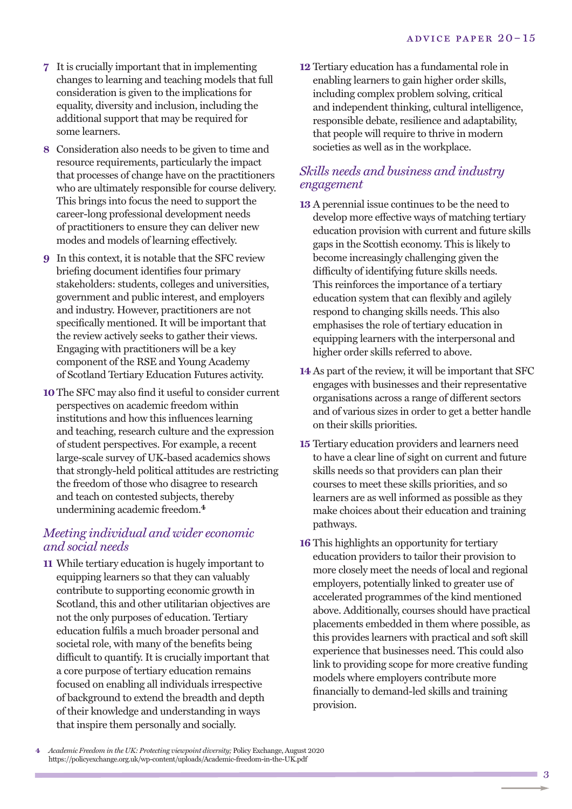- **7** It is crucially important that in implementing changes to learning and teaching models that full consideration is given to the implications for equality, diversity and inclusion, including the additional support that may be required for some learners.
- **8** Consideration also needs to be given to time and resource requirements, particularly the impact that processes of change have on the practitioners who are ultimately responsible for course delivery. This brings into focus the need to support the career-long professional development needs of practitioners to ensure they can deliver new modes and models of learning effectively.
- **9** In this context, it is notable that the SFC review briefing document identifies four primary stakeholders: students, colleges and universities, government and public interest, and employers and industry. However, practitioners are not specifically mentioned. It will be important that the review actively seeks to gather their views. Engaging with practitioners will be a key component of the RSE and Young Academy of Scotland Tertiary Education Futures activity.
- **10**The SFC may also find it useful to consider current perspectives on academic freedom within institutions and how this influences learning and teaching, research culture and the expression of student perspectives. For example, a recent large-scale survey of UK-based academics shows that strongly-held political attitudes are restricting the freedom of those who disagree to research and teach on contested subjects, thereby undermining academic freedom. **4**

#### *Meeting individual and wider economic and social needs*

**11** While tertiary education is hugely important to equipping learners so that they can valuably contribute to supporting economic growth in Scotland, this and other utilitarian objectives are not the only purposes of education. Tertiary education fulfils a much broader personal and societal role, with many of the benefits being difficult to quantify. It is crucially important that a core purpose of tertiary education remains focused on enabling all individuals irrespective of background to extend the breadth and depth of their knowledge and understanding in ways that inspire them personally and socially.

**12** Tertiary education has a fundamental role in enabling learners to gain higher order skills, including complex problem solving, critical and independent thinking, cultural intelligence, responsible debate, resilience and adaptability, that people will require to thrive in modern societies as well as in the workplace.

## *Skills needs and business and industry engagement*

- **13** A perennial issue continues to be the need to develop more effective ways of matching tertiary education provision with current and future skills gaps in the Scottish economy. This is likely to become increasingly challenging given the difficulty of identifying future skills needs. This reinforces the importance of a tertiary education system that can flexibly and agilely respond to changing skills needs. This also emphasises the role of tertiary education in equipping learners with the interpersonal and higher order skills referred to above.
- **14** As part of the review, it will be important that SFC engages with businesses and their representative organisations across a range of different sectors and of various sizes in order to get a better handle on their skills priorities.
- **15** Tertiary education providers and learners need to have a clear line of sight on current and future skills needs so that providers can plan their courses to meet these skills priorities, and so learners are as well informed as possible as they make choices about their education and training pathways.
- **16** This highlights an opportunity for tertiary education providers to tailor their provision to more closely meet the needs of local and regional employers, potentially linked to greater use of accelerated programmes of the kind mentioned above. Additionally, courses should have practical placements embedded in them where possible, as this provides learners with practical and soft skill experience that businesses need. This could also link to providing scope for more creative funding models where employers contribute more financially to demand-led skills and training provision.

**4** *Academic Freedom in the UK: Protecting viewpoint diversity;* Policy Exchange, August 2020 https://policyexchange.org.uk/wp-content/uploads/Academic-freedom-in-the-UK.pdf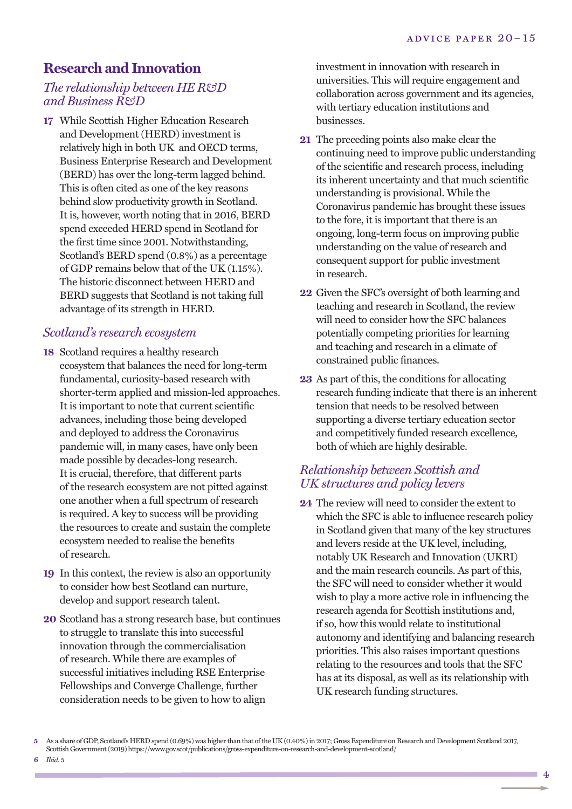# **Research and Innovation**

#### *The relationship between HE R&D and Business R&D*

**17** While Scottish Higher Education Research and Development (HERD) investment is relatively high in both UK and OECD terms, Business Enterprise Research and Development (BERD) has over the long-term lagged behind. This is often cited as one of the key reasons behind slow productivity growth in Scotland. It is, however, worth noting that in 2016, BERD spend exceeded HERD spend in Scotland for the first time since 2001. Notwithstanding, Scotland's BERD spend (0.8%) as a percentage of GDP remains below that of the UK (1.15%). The historic disconnect between HERD and BERD suggests that Scotland is not taking full advantage of its strength in HERD.

## *Scotland's research ecosystem*

- **18** Scotland requires a healthy research ecosystem that balances the need for long-term fundamental, curiosity-based research with shorter-term applied and mission-led approaches. It is important to note that current scientific advances, including those being developed and deployed to address the Coronavirus pandemic will, in many cases, have only been made possible by decades-long research. It is crucial, therefore, that different parts of the research ecosystem are not pitted against one another when a full spectrum of research is required. A key to success will be providing the resources to create and sustain the complete ecosystem needed to realise the benefits of research.
- **19** In this context, the review is also an opportunity to consider how best Scotland can nurture, develop and support research talent.
- **20** Scotland has a strong research base, but continues to struggle to translate this into successful innovation through the commercialisation of research. While there are examples of successful initiatives including RSE Enterprise Fellowships and Converge Challenge, further consideration needs to be given to how to align

investment in innovation with research in universities. This will require engagement and collaboration across government and its agencies, with tertiary education institutions and businesses.

- **21** The preceding points also make clear the continuing need to improve public understanding of the scientific and research process, including its inherent uncertainty and that much scientific understanding is provisional. While the Coronavirus pandemic has brought these issues to the fore, it is important that there is an ongoing, long-term focus on improving public understanding on the value of research and consequent support for public investment in research.
- **22** Given the SFC's oversight of both learning and teaching and research in Scotland, the review will need to consider how the SFC balances potentially competing priorities for learning and teaching and research in a climate of constrained public finances.
- **23** As part of this, the conditions for allocating research funding indicate that there is an inherent tension that needs to be resolved between supporting a diverse tertiary education sector and competitively funded research excellence, both of which are highly desirable.

## *Relationship between Scottish and UK structures and policy levers*

**24** The review will need to consider the extent to which the SFC is able to influence research policy in Scotland given that many of the key structures and levers reside at the UK level, including, notably UK Research and Innovation (UKRI) and the main research councils. As part of this, the SFC will need to consider whether it would wish to play a more active role in influencing the research agenda for Scottish institutions and, if so, how this would relate to institutional autonomy and identifying and balancing research priorities. This also raises important questions relating to the resources and tools that the SFC has at its disposal, as well as its relationship with UK research funding structures.

**6** *Ibid*. 5

**<sup>5</sup>** As a share of GDP, Scotland's HERD spend (0.69%) was higher than that ofthe UK (0.40%)in 2017; GrossExpenditure on Research and Development Scotland 2017, Scottish Government(2019) https://www.gov.scot/publications/gross-expenditure-on-research-and-development-scotland/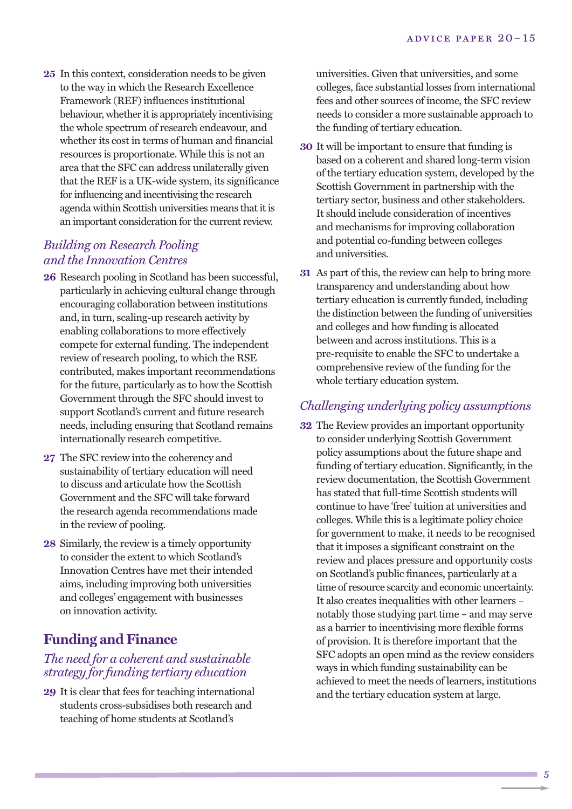**25** In this context, consideration needs to be given to the way in which the Research Excellence Framework (REF) influences institutional behaviour, whether it is appropriately incentivising the whole spectrum of research endeavour, and whether its cost in terms of human and financial resources is proportionate. While this is not an area that the SFC can address unilaterally given that the REF is a UK-wide system, its significance for influencing and incentivising the research agenda within Scottish universities means that it is an important consideration for the current review.

## *Building on Research Pooling and the Innovation Centres*

- **26** Research pooling in Scotland has been successful, particularly in achieving cultural change through encouraging collaboration between institutions and, in turn, scaling-up research activity by enabling collaborations to more effectively compete for external funding. The independent review of research pooling, to which the RSE contributed, makes important recommendations for the future, particularly as to how the Scottish Government through the SFC should invest to support Scotland's current and future research needs, including ensuring that Scotland remains internationally research competitive.
- **27** The SFC review into the coherency and sustainability of tertiary education will need to discuss and articulate how the Scottish Government and the SFC will take forward the research agenda recommendations made in the review of pooling.
- **28** Similarly, the review is a timely opportunity to consider the extent to which Scotland's Innovation Centres have met their intended aims, including improving both universities and colleges' engagement with businesses on innovation activity.

# **Funding and Finance**

#### *The need for a coherent and sustainable strategy for funding tertiary education*

**29** It is clear that fees for teaching international students cross-subsidises both research and teaching of home students at Scotland's

universities. Given that universities, and some colleges, face substantial losses from international fees and other sources of income, the SFC review needs to consider a more sustainable approach to the funding of tertiary education.

- **30** It will be important to ensure that funding is based on a coherent and shared long-term vision of the tertiary education system, developed by the Scottish Government in partnership with the tertiary sector, business and other stakeholders. It should include consideration of incentives and mechanisms for improving collaboration and potential co-funding between colleges and universities.
- **31** As part of this, the review can help to bring more transparency and understanding about how tertiary education is currently funded, including the distinction between the funding of universities and colleges and how funding is allocated between and across institutions. This is a pre-requisite to enable the SFC to undertake a comprehensive review of the funding for the whole tertiary education system.

### *Challenging underlying policy assumptions*

**32** The Review provides an important opportunity to consider underlying Scottish Government policy assumptions about the future shape and funding of tertiary education. Significantly, in the review documentation, the Scottish Government has stated that full-time Scottish students will continue to have 'free' tuition at universities and colleges. While this is a legitimate policy choice for government to make, it needs to be recognised that it imposes a significant constraint on the review and places pressure and opportunity costs on Scotland's public finances, particularly at a time of resource scarcity and economic uncertainty. It also creates inequalities with other learners – notably those studying part time – and may serve as a barrier to incentivising more flexible forms of provision. It is therefore important that the SFC adopts an open mind as the review considers ways in which funding sustainability can be achieved to meet the needs of learners, institutions and the tertiary education system at large.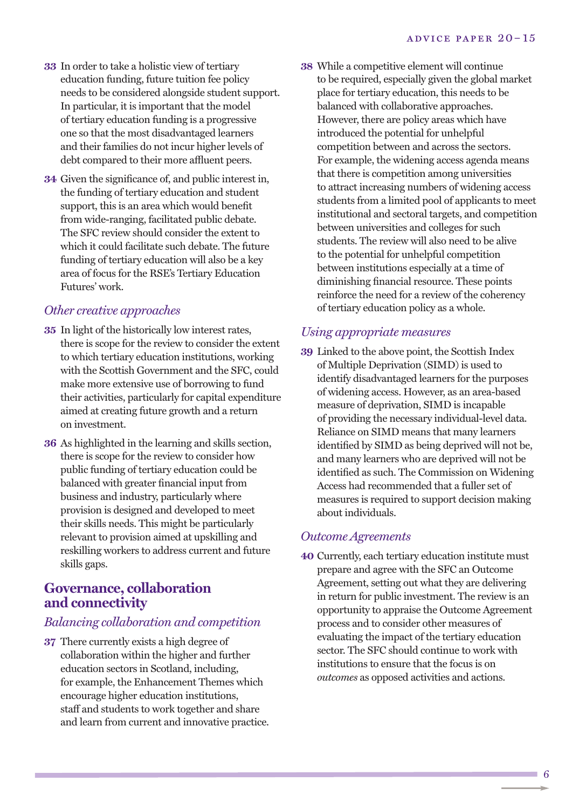- **33** In order to take a holistic view of tertiary education funding, future tuition fee policy needs to be considered alongside student support. In particular, it is important that the model of tertiary education funding is a progressive one so that the most disadvantaged learners and their families do not incur higher levels of debt compared to their more affluent peers.
- **34** Given the significance of, and public interest in, the funding of tertiary education and student support, this is an area which would benefit from wide-ranging, facilitated public debate. The SFC review should consider the extent to which it could facilitate such debate. The future funding of tertiary education will also be a key area of focus for the RSE's Tertiary Education Futures' work.

#### *Other creative approaches*

- **35** In light of the historically low interest rates, there is scope for the review to consider the extent to which tertiary education institutions, working with the Scottish Government and the SFC, could make more extensive use of borrowing to fund their activities, particularly for capital expenditure aimed at creating future growth and a return on investment.
- **36** As highlighted in the learning and skills section, there is scope for the review to consider how public funding of tertiary education could be balanced with greater financial input from business and industry, particularly where provision is designed and developed to meet their skills needs. This might be particularly relevant to provision aimed at upskilling and reskilling workers to address current and future skills gaps.

## **Governance, collaboration and connectivity**

#### *Balancing collaboration and competition*

**37** There currently exists a high degree of collaboration within the higher and further education sectors in Scotland, including, for example, the Enhancement Themes which encourage higher education institutions, staff and students to work together and share and learn from current and innovative practice. **38** While a competitive element will continue to be required, especially given the global market place for tertiary education, this needs to be balanced with collaborative approaches. However, there are policy areas which have introduced the potential for unhelpful competition between and across the sectors. For example, the widening access agenda means that there is competition among universities to attract increasing numbers of widening access students from a limited pool of applicants to meet institutional and sectoral targets, and competition between universities and colleges for such students. The review will also need to be alive to the potential for unhelpful competition between institutions especially at a time of diminishing financial resource. These points reinforce the need for a review of the coherency of tertiary education policy as a whole.

#### *Using appropriate measures*

**39** Linked to the above point, the Scottish Index of Multiple Deprivation (SIMD) is used to identify disadvantaged learners for the purposes of widening access. However, as an area-based measure of deprivation, SIMD is incapable of providing the necessary individual-level data. Reliance on SIMD means that many learners identified by SIMD as being deprived will not be, and many learners who are deprived will not be identified as such. The Commission on Widening Access had recommended that a fuller set of measures is required to support decision making about individuals.

#### *Outcome Agreements*

**40** Currently, each tertiary education institute must prepare and agree with the SFC an Outcome Agreement, setting out what they are delivering in return for public investment. The review is an opportunity to appraise the Outcome Agreement process and to consider other measures of evaluating the impact of the tertiary education sector. The SFC should continue to work with institutions to ensure that the focus is on *outcomes* as opposed activities and actions.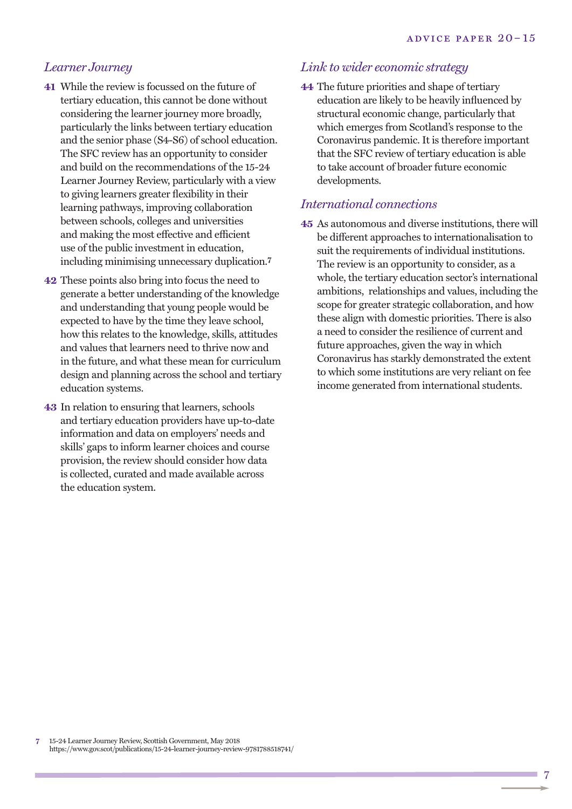#### *Learner Journey*

- **41** While the review is focussed on the future of tertiary education, this cannot be done without considering the learner journey more broadly, particularly the links between tertiary education and the senior phase (S4-S6) of school education. The SFC review has an opportunity to consider and build on the recommendations of the 15-24 Learner Journey Review, particularly with a view to giving learners greater flexibility in their learning pathways, improving collaboration between schools, colleges and universities and making the most effective and efficient use of the public investment in education, including minimising unnecessary duplication. **7**
- **42** These points also bring into focus the need to generate a better understanding of the knowledge and understanding that young people would be expected to have by the time they leave school, how this relates to the knowledge, skills, attitudes and values that learners need to thrive now and in the future, and what these mean for curriculum design and planning across the school and tertiary education systems.
- **43** In relation to ensuring that learners, schools and tertiary education providers have up-to-date information and data on employers' needs and skills' gaps to inform learner choices and course provision, the review should consider how data is collected, curated and made available across the education system.

#### *Link to wider economic strategy*

**44** The future priorities and shape of tertiary education are likely to be heavily influenced by structural economic change, particularly that which emerges from Scotland's response to the Coronavirus pandemic. It is therefore important that the SFC review of tertiary education is able to take account of broader future economic developments.

#### *International connections*

**45** As autonomous and diverse institutions, there will be different approaches to internationalisation to suit the requirements of individual institutions. The review is an opportunity to consider, as a whole, the tertiary education sector's international ambitions, relationships and values, including the scope for greater strategic collaboration, and how these align with domestic priorities. There is also a need to consider the resilience of current and future approaches, given the way in which Coronavirus has starkly demonstrated the extent to which some institutions are very reliant on fee income generated from international students.

**7** 15-24 Learner Journey Review, Scottish Government, May 2018 https://www.gov.scot/publications/15-24-learner-journey-review-9781788518741/